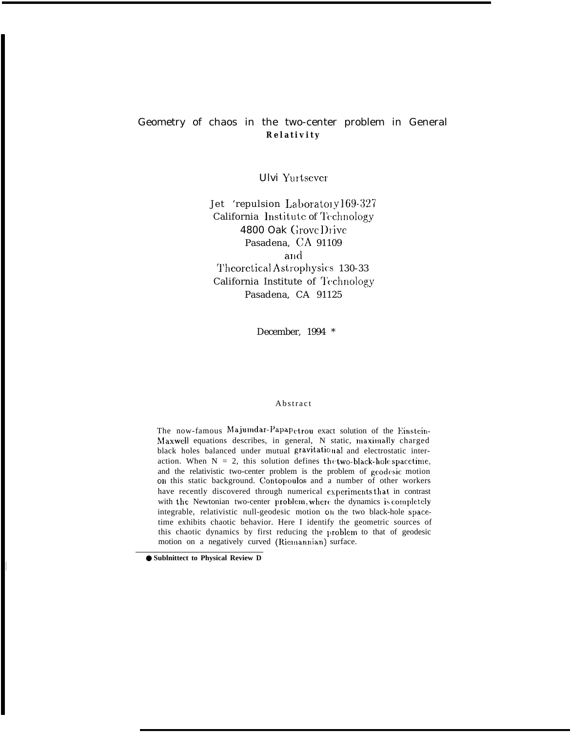# Geometry of chaos in the two-center problem in General **Relativit y**

Ulvi Yurtscver

Jet 'repulsion Laborato1y169-327 California Institute of Technology 4800 Oak Grove Drive Pasadena, CA 91109 and Theoretical Astrophysics 130-33 California Institute of Technology Pasadena, CA 91125

December, 1994 \*

# **Abstract**

The now-famous Majumdar-Papapetrou exact solution of the Einstein-Maxwell equations describes, in general, N static, maximally charged black holes balanced under mutual gravitational and electrostatic interaction. When  $N = 2$ , this solution defines the two-black-hole spacetime, and the relativistic two-center problem is the problem of geodesic motion on this static background. Contopoulos and a number of other workers have recently discovered through numerical experiments that in contrast with the Newtonian two-center problem, where the dynamics is completely integrable, relativistic null-geodesic motion on the two black-hole spacetime exhibits chaotic behavior. Here I identify the geometric sources of this chaotic dynamics by first reducing the problem to that of geodesic motion on a negatively curved (Riemannian) surface.

<sup>●</sup> **Sublnittect to Physical Review D**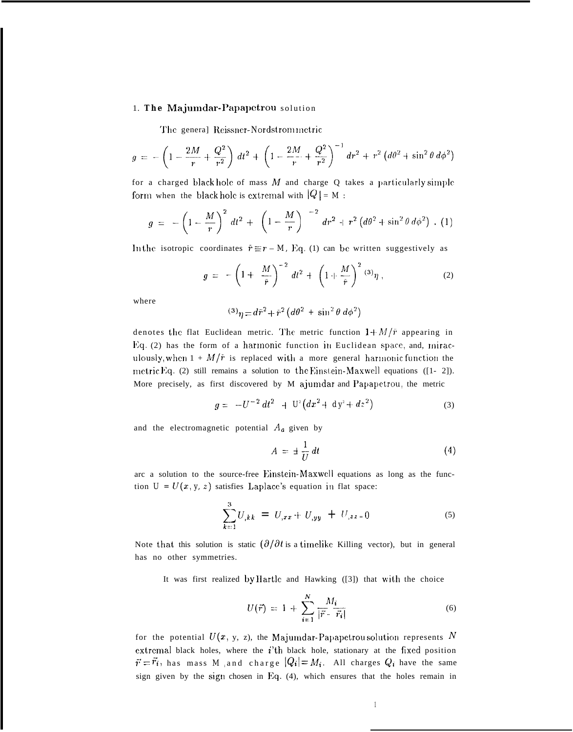## 1. The Majumdar-Papapetrou solution

The general Reissner-Nordstrommetric

$$
g = -\left(1 - \frac{2M}{r} + \frac{Q^2}{r^2}\right) dt^2 + \left(1 - \frac{2M}{r} + \frac{Q^2}{r^2}\right)^{-1} dr^2 + r^2 \left(d\theta^2 + \sin^2\theta \, d\phi^2\right)
$$

for a charged black hole of mass M and charge Q takes a particularly simple form when the black hole is extremal with  $|Q| = M$ :

$$
g = -\left(1 - \frac{M}{r}\right)^2 dt^2 + \left(1 - \frac{M}{r}\right)^{-2} dr^2 + r^2 \left(d\theta^2 + \sin^2 \theta d\phi^2\right) . (1)
$$

In the isotropic coordinates  $\bar{r} \equiv r - M$ , Eq. (1) can be written suggestively as

$$
g = -\left(1 + \frac{M}{\bar{r}}\right)^{-2} dt^2 + \left(1 + \frac{M}{\bar{r}}\right)^2 {}^{(3)}\eta , \qquad (2)
$$

where

$$
^{(3)}\eta = d\bar{r}^2 + \bar{r}^2 \left(d\theta^2 + \sin^2\theta \, d\phi^2\right)
$$

denotes the flat Euclidean metric. The metric function  $1 + M/\bar{r}$  appearing in  $Eq. (2)$  has the form of a harmonic function in Euclidean space, and, miraculously, when  $1 + M/\tilde{r}$  is replaced with a more general harmonic function the metric Eq. (2) still remains a solution to the Einstein-Maxwell equations ( $[1- 2]$ ). More precisely, as first discovered by M ajumdar and Papapetrou, the metric

$$
g = -U^{-2} dt^2 + U^e (dx^2 + dy^2 + dz^2)
$$
 (3)

and the electromagnetic potential  $A_a$  given by

$$
A = \pm \frac{1}{U} dt \tag{4}
$$

arc a solution to the source-free Einstein-Maxwell equations as long as the function  $U = U(x, y, z)$  satisfies Laplace's equation in flat space:

$$
\sum_{k=1}^{3} U_{,kk} = U_{,xx} + U_{,yy} + U_{,zz=0}
$$
 (5)

Note that this solution is static  $(\partial/\partial t)$  is a timelike Killing vector), but in general has no other symmetries.

It was first realized by IIartlc and Hawking ([3]) that with the choice

$$
U(\vec{r}) = 1 + \sum_{i=1}^{N} \frac{M_i}{|\vec{r} - \vec{r}_i|}
$$
 (6)

for the potential  $U(x, y, z)$ , the Majumdar-Papapetrou solution represents  $N$ extremal black holes, where the  $i$ 'th black hole, stationary at the fixed position  $\vec{r} = \vec{r_i}$ , has mass *M* and charge  $|Q_i| = M_i$ . All charges  $Q_i$  have the same sign given by the sign chosen in Eq.  $(4)$ , which ensures that the holes remain in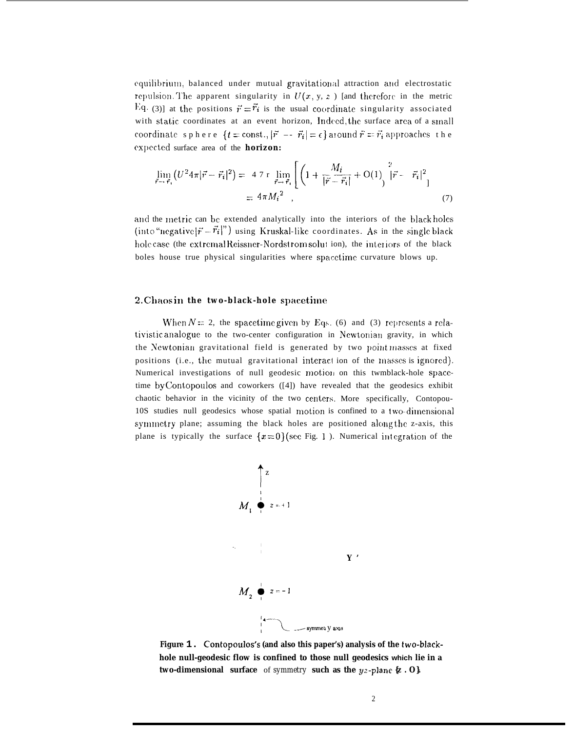equilibrium, balanced under mutual gravitational attraction and electrostatic repulsion. The apparent singularity in  $U(x, y, z)$  [and therefore in the metric Eq. (3)] at the positions  $\vec{r} = \vec{r_i}$  is the usual coordinate singularity associated with static coordinates at an event horizon, Indeed, the surface area of a small coordinate sphere  $\{t = \text{const.}, |\vec{r}| = \vec{r_i}| = \epsilon\}$  around  $\vec{r} = \vec{r_i}$  approaches the expected surface area of the **horizon:** 

$$
\lim_{\vec{r} \to \vec{r}_i} (U^2 4\pi |\vec{r} - \vec{r}_i|^2) = 47 \, \text{r} \lim_{\vec{r} \to \vec{r}_i} \left[ \left( 1 + \frac{M_i}{|\vec{r} - \vec{r}_i|} + \text{O}(1) \right)^2 |\vec{r} - \vec{r}_i|^2 \right] \n= 4\pi M_i^2
$$
\n(7)

and the metric can be extended analytically into the interiors of the black holes (into "negative  $|\vec{r}-\vec{r}_i|^n$ ) using Kruskal-like coordinates. As in the single black hole case (the extremal Reissner-Nordst rom solut ion), the interiors of the black boles house true physical singularities where spacetime curvature blows up.

### 2. Chaos in the two-black-hole spacetime

When  $N = 2$ , the spacetime given by Eqs. (6) and (3) represents a relativistic analogue to the two-center configuration in Newtorliau gravity, in which the Newtonian gravitational field is generated by two point masses at fixed positions (i.e., the mutual gravitational interact ion of the masses is ignored). Numerical investigations of null geodesic motion on this twmblack-hole spacetime by Contopoulos and coworkers ([4]) have revealed that the geodesics exhibit chaotic behavior in the vicinity of the two centers. More specifically, Contopou-10S studies null geodesics whose spatial motion is confined to a two-dimensional symmetry plane; assuming the black holes are positioned along the z-axis, this plane is typically the surface  $\{x=0\}$  (see Fig. 1). Numerical integration of the



**Figure 1. Contopoulos's (and also this paper's) analysis of the two-blackhole null-geodesic flow is confined to those null geodesics which lie in a two-dimensional surface** of *symmetry* **such as the yz-plane {z . O}.**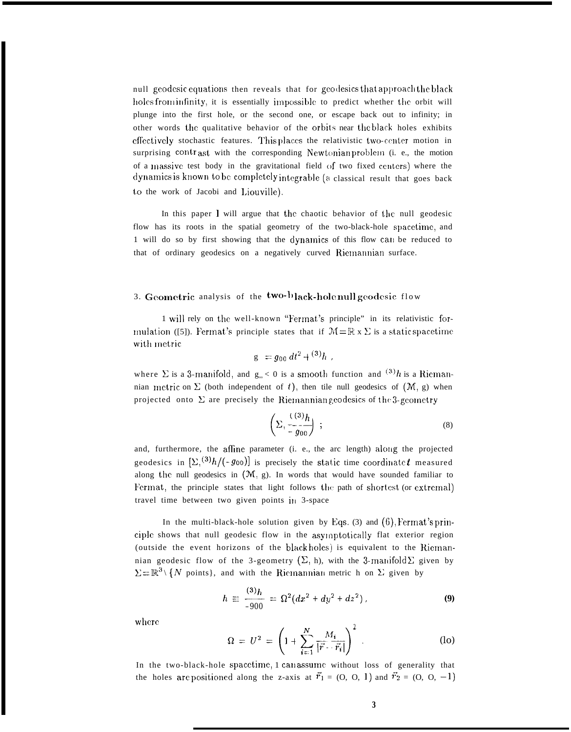null geodesic equations then reveals that for geodesics that approach the black holes from infinity, it is essentially impossible to predict whether the orbit will plunge into the first hole, or the second one, or escape back out to infinity; in other words the qualitative behavior of the orbits near the black holes exhibits effectively stochastic features. This places the relativistic two-center motion in surprising contrast with the corresponding Newtonian problem (i. e., the motion of a massive test body in the gravitational field of two fixed centers) where the dynamics is known to be completely integrable (a classical result that goes back to the work of Jacobi and l,iouville).

In this paper  $\bf{l}$  will argue that the chaotic behavior of the null geodesic flow has its roots in the spatial geometry of the two-black-hole spacetime, and 1 will do so by first showing that the dynamics of this flow can be reduced to that of ordinary geodesics on a negatively curved Riemannian surface.

# 3. Geometric analysis of the two-black-hole null geodesic flow

1 will rely on the well-known "Fermat's principle" in its relativistic formulation ([5]). Fermat's principle states that if  $\mathcal{M} = \mathbb{R} \times \Sigma$  is a static spacetime with metric

$$
g = g_{00} dt^2 + {^{(3)}h} ,
$$

where  $\Sigma$  is a 3-manifold, and  $g_{\infty}$  < 0 is a smooth function and  $(3)$ *h* is a Riemannian metric on  $\Sigma$  (both independent of t), then tile null geodesics of  $(M, g)$  when projected onto  $\Sigma$  are precisely the Riemannian geodesics of the 3-gcometr

to of *t*), then the null geodesics of 
$$
(M, g)
$$
 when

\nthe Riemannian geodesics of the 3-geometry

\n
$$
\left(\sum_{i=1}^{n} \frac{(-a)^i h}{-g_{00}}\right)
$$

\n(8)

and, furthermore, the affine parameter (i. e., the arc length) along the projected geodesics in  $[\Sigma_{1}(3)h/(-g_{00})]$  is precisely the static time coordinate t measured along the null geodesics in  $(M, g)$ . In words that would have sounded familiar to Fermat, the principle states that light follows the path of shortest (or extremal) travel time between two given points in 3-space

In the multi-black-hole solution given by Eqs. (3) and  $(6)$ , Fermat's principle shows that null geodesic flow in the asyloptotical]y flat exterior region (outside the event horizons of the black holes) is equivalent to the Riernannian geodesic flow of the 3-geometry  $(\Sigma, h)$ , with the 3-manifold  $\Sigma$  given by  $\Sigma = \mathbb{R}^3 \setminus \{N \text{ points}\}\$ , and with the Ricmannian metric h on  $\Sigma$  given by

$$
h \equiv \frac{(3)h}{-900} = \Omega^2 (dx^2 + dy^2 + dz^2) \,, \tag{9}
$$

where

where  
\n
$$
\Omega = U^2 = \left(1 + \sum_{i=1}^{N} \frac{M_i}{|\vec{r} \cdot \vec{r}_i|}\right)^2.
$$
\n(10)  
\nIn the two-black-hole spacetime, 1 can assume without loss of generality that

the holes are positioned along the z-axis at  $\vec{r}_1 = (0, 0, 1)$  and  $\vec{r}_2 = (0, 0, -1)$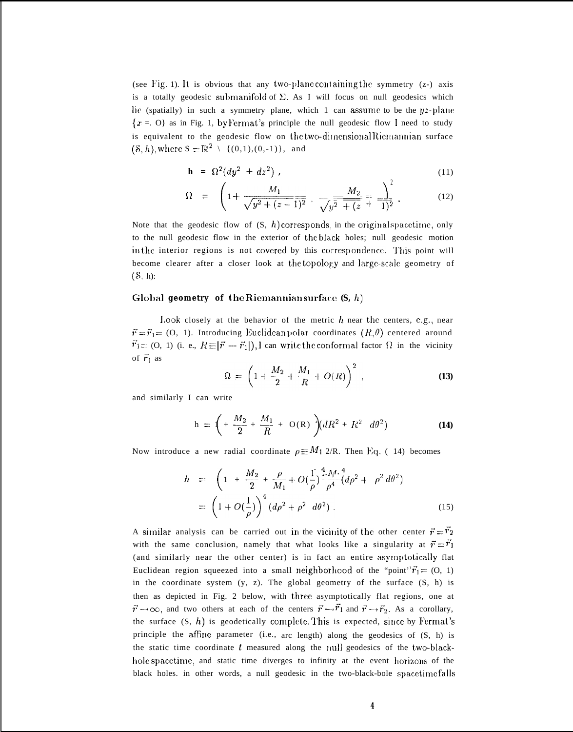(see Fig. 1). It is obvious that any two-plane containing the symmetry  $(z)$  axis is a totally geodesic submanifold of  $\Sigma$ . As I will focus on null geodesics which lie (spatially) in such a symmetry plane, which 1 can assume to be the yz-plane  $\{x = 0\}$  as in Fig. 1, by Fermat's principle the null geodesic flow I need to study is equivalent to the geodesic flow on the two-dimensional Riemannian surface  $(\$, h),$  where  $S = \mathbb{R}^2 \setminus \{(0,1),(0,-1)\},\$  and

$$
\mathbf{h} = \Omega^2 (dy^2 + dz^2) \tag{11}
$$

$$
\Omega = \left(1 + \frac{M_1}{\sqrt{y^2 + (z-1)^2}} + \frac{M_2}{\sqrt{y^2 + (z-1)^2}}\right). \tag{12}
$$

Note that the geodesic flow of  $(S, h)$  corresponds, in the original spacetime, only to the null geodesic flow in the exterior of the black holes; null geodesic motion in the interior regions is not covered by this correspondence. This point will become clearer after a closer look at the topology and large-scale geometry of (S, h):

# Global geometry of the Riemannian surface (S, h)

Look closely at the behavior of the metric  $h$  near the centers, e.g., near  $\vec{r} = \vec{r}_1 = (0, 1)$ . Introducing Euclidean polar coordinates  $(R, \theta)$  centered around  $\vec{r}_1 = (0, 1)$  (i. e.,  $R \equiv |\vec{r} - \vec{r}_1|$ ), I can write the conformal factor  $\Omega$  in the vicinity of  $\vec{r}_1$  as

$$
\Omega = \left(1 + \frac{M_2}{2} + \frac{M_1}{R} + O(R)\right)^2, \tag{13}
$$

and similarly I can write

$$
h = \left(+\frac{M_2}{2} + \frac{M_1}{R} + O(R)\right)(dR^2 + R^2 \ d\theta^2)
$$
 (14)

Now introduce a new radial coordinate 
$$
\rho \equiv M_1 \ 2/R
$$
. Then Eq. (14) becomes  
\n
$$
h = \left(1 + \frac{M_2}{2} + \frac{\rho}{M_1} + O(\frac{1}{\rho}) \int_{-\rho}^{4} \frac{M_1 \cdot 4}{\rho^4} (d\rho^2 + \rho^2 d\theta^2) \right)
$$
\n
$$
= \left(1 + O(\frac{1}{\rho})\right)^4 (d\rho^2 + \rho^2 d\theta^2) \qquad (15)
$$

A similar analysis can be carried out in the vicinity of the other center  $\vec{r} = \vec{r}_2$ with the same conclusion, namely that what looks like a singularity at  $\vec{r} = \vec{r_1}$ (and similarly near the other center) is in fact an entire asymptotically flat Euclidean region squeezed into a small neighborhood of the "point" $\vec{r}_1 = (0, 1)$ in the coordinate system  $(y, z)$ . The global geometry of the surface  $(S, h)$  is then as depicted in Fig. 2 below, with three asymptotically flat regions, one at  $\vec{r} \rightarrow \infty$ , and two others at each of the centers  $\vec{r} \rightarrow \vec{r}_1$  and  $\vec{r} \rightarrow \vec{r}_2$ . As a corollary, the surface  $(S, h)$  is geodetically complete. This is expected, since by Fermat's principle the afflne parameter (i.e., arc length) along the geodesics of (S, h) is the static time coordinate  $t$  measured along the null geodesics of the two-blackhole spacetime, and static time diverges to infinity at the event horizons of the black holes. in other words, a null geodesic in the two-black-bole spacetime falls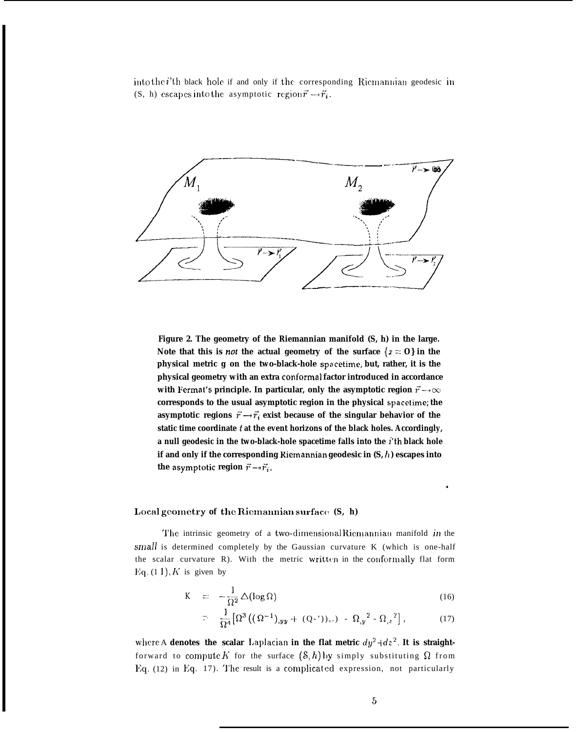into the  $i$ 'th black hole if and only if the corresponding Riemannian geodesic in (S, h) escapes into the asymptotic region  $\vec{r} \rightarrow \vec{r}_i$ .



**Figure 2. The geometry of the Riemannian manifold (S, h) in the large.** Note that this is *not* the actual geometry of the surface  $\{x = 0\}$  in the **physical metric g on the two-black-hole spacetime, but, rather, it is the physical geometry with an extra conformal factor introduced in accordance with Fermat's principle. In particular, only the asymptotic region**  $\vec{r} \rightarrow \infty$ corresponds to the usual asymptotic region in the physical spacetime; the **asymptotic regions**  $\vec{r} \rightarrow \vec{r_i}$  exist because of the singular behavior of the static time coordinate t at the event horizons of the black holes. Accordingly, **a null geodesic in the two-black-hole spacetime falls into the i'th black hole if and only if the corresponding Riemannian geodesic in (S, h ) escapes into the asymptotic region**  $\vec{r} \rightarrow \vec{r_i}$ .

#### **Local** geometry of the Riemannian surface  $(S, h)$

The intrinsic geometry of a two-dimensional Riemannian manifold in the small is determined completely by the Gaussian curvature K (which is one-half the scalar curvature R). With the metric written in the conformally flat form Eq.  $(1 1)$ , K is given by

$$
K = -\frac{1}{\Omega^2} \Delta(\log \Omega) \tag{16}
$$

$$
= \frac{1}{\Omega^4} \big[ \Omega^3 \big( (\Omega^{-1})_{,yy} + (Q^{-1})_{,1} \big) - \Omega_{,y}^2 - \Omega_{,z}^2 \big], \tag{17}
$$

where A **denotes** the scalar Laplacian in the flat metric  $dy^2 + dz^2$ . It is straightforward to compute K for the surface  $(\mathcal{S}, h)$  by simply substituting  $\Omega$  from Eq. (12) in Eq. 17). The result is a complicated expression, not particularly

.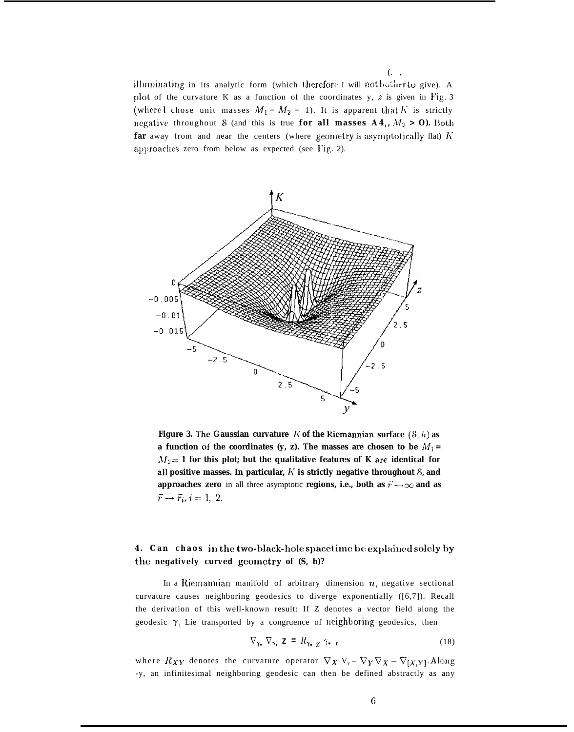(. ,

illuminating in its analytic form (which therefore I will not bother to give). A plot of the curvature K as a function of the coordinates y,  $z$  is given in Fig. 3 (where I chose unit masses  $M_1 = M_2 = 1$ ). It is apparent that K is strictly negative throughout S (and this is true for all masses  $A4_1$ ,  $M_2 > 0$ ). Both **far** away from and near the centers (where geometry is asymptotically flat)  $K$ approaches zero from below as expected (see Fig. 2).



**Figure 3.** The Gaussian curvature K of the Riemannian surface  $(S, h)$  as **a** function of the coordinates (y, z). The masses are chosen to be  $M_1$  =  $M_2 = 1$  for this plot; but the qualitative features of K are identical for **all positive masses. In particular, A' is strictly negative throughout S, and approaches zero** in all three asymptotic **regions, i.e., both as**  $\vec{r}' \rightarrow \infty$  and as  $\vec{r} \rightarrow \vec{r}_i, i=1, 2.$ 

# **4. Can chaos in the two-black-llcjle spacetimc he exl>lainecl solely by** the negatively curved geometry of  $(S, h)$ ?

In a Riemannian manifold of arbitrary dimension  $n$ , negative sectional curvature causes neighboring geodesics to diverge exponentially ([6,7]). Recall the derivation of this well-known result: If Z denotes a vector field along the geodesic  $\gamma$ , Lie transported by a congruence of neighboring geodesics, then

$$
\nabla_{\gamma_{\bullet}} \nabla_{\gamma_{\bullet}} \mathbf{z} = R_{\gamma_{\bullet}} \frac{\gamma_{\bullet}}{Z} \gamma_{\bullet} \tag{18}
$$

where  $R_{XY}$  denotes the curvature operator  $\nabla_X V_y - \nabla_Y \nabla_X - \nabla_{[X,Y]}$ . Along -y, an infinitesimal neighboring geodesic can then be defined abstractly as any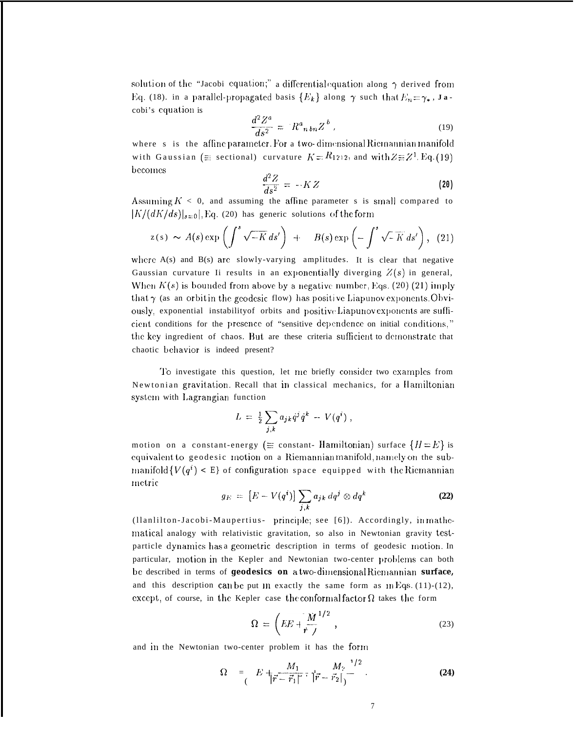solution of the "Jacobi equation;" a differential equation along  $\gamma$  derived from Eq. (18). in a parallel-propagated basis  $\{E_k\}$  along  $\gamma$  such that  $E_n = \gamma_*$ , Jacobi's equation is

$$
\frac{d^2Z^a}{ds^2} = R^a_{n\,bn}Z^b \,, \tag{19}
$$

where s is the affine parameter. For a two-dimensional Riemannian manifold with Gaussian ( $\equiv$  sectional) curvature  $K = R_{1212}$ , and with  $Z = Z^1$ . Eq. (19) becomes

$$
\frac{d^2Z}{ds^2} = -KZ\tag{20}
$$

Assuming  $K < 0$ , and assuming the affine parameter s is small compared to  $|K/(dK/ds)|_{s=0}|$ , Eq. (20) has generic solutions of the form

$$
z(s) \sim A(s) \exp\left(\int^s \sqrt{-K} \, ds'\right) + B(s) \exp\left(-\int^s \sqrt{-K} \, ds'\right), \quad (21)
$$

where  $A(s)$  and  $B(s)$  are slowly-varying amplitudes. It is clear that negative Gaussian curvature Ii results in an exponentially diverging  $Z(s)$  in general, When  $K(s)$  is bounded from above by a negative number, Eqs. (20) (21) imply that  $\gamma$  (as an orbit in the geodesic flow) has positive Liapunov exponents. Obviously, exponential instability of orbits and positive Liapunov exponents are sufficient conditions for the presence of "sensitive dependence on initial conditions," the key ingredient of chaos. But are these criteria sufficient to demonstrate that chaotic behavior is indeed present?

To investigate this question, let me briefly consider two examples from Newtonian gravitation. Recall that in classical mechanics, for a Hamiltonian system with Lagrangian function

$$
L = \frac{1}{2} \sum_{j,k} a_{jk} \dot{q}^j \dot{q}^k - V(q^i) ,
$$

motion on a constant-energy ( $\equiv$  constant- Hamiltonian) surface  $\{H = E\}$  is equivalent to geodesic motion on a Riemannian manifold, namely on the submanifold  $\{V(q^i) < E\}$  of configuration space equipped with the Riemannian metric

$$
g_E = [E - V(q^i)] \sum_{j,k} a_{jk} dq^j \otimes dq^k
$$
 (22)

(Ilanlilton-Jacobi-Maupertius- principle; see [6]). Accordingly, inmathematical analogy with relativistic gravitation, so also in Newtonian gravity testparticle dynamics has a geometric description in terms of geodesic motion. In particular, motion in the Kepler and Newtonian two-center problems can both be described in terms of geodesics on a two-dimensional Riemannian surface, and this description can be put  $m$  exactly the same form as  $mEqs. (11)-(12)$ , except, of course, in the Kepler case the conformal factor  $\Omega$  takes the form

$$
\Omega = \left( EE + \frac{M}{r} \frac{1/2}{r} \right),\tag{23}
$$

and in the Newtonian two-center problem it has the form

$$
\Omega = \left( E + \frac{M_1}{|\vec{r} - \vec{r}_1|^{2}} \cdot |\vec{r} - \vec{r}_2| \right) \tag{24}
$$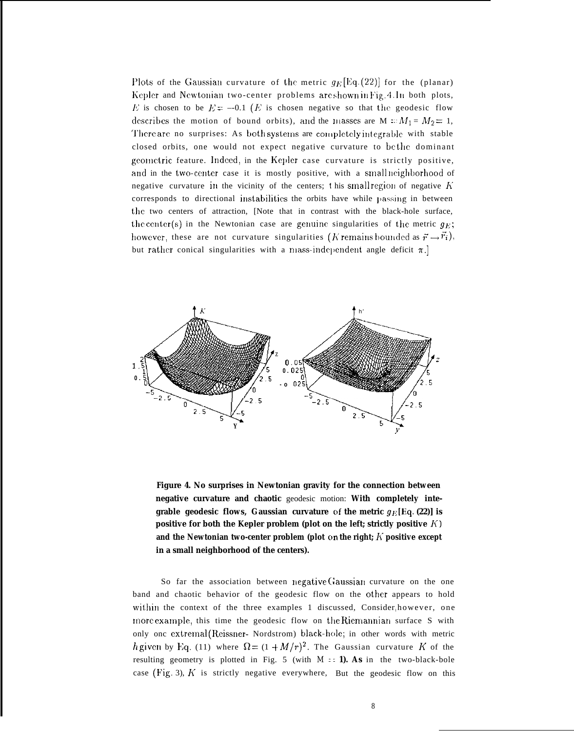Plots of the Gaussian curvature of the metric  $g_F$ [Eq. (22)] for the (planar) Kepler and Newtonian two-center problems are shown in Fig. 4. In both plots, E is chosen to be  $E = -0.1$  (E is chosen negative so that the geodesic flow describes the motion of bound orbits), and the masses are M ::  $M_1 = M_2 = 1$ , There are no surprises: As both systems are completely integrable with stable closed orbits, one would not expect negative curvature to be the dominant geometric feature. Indeed, in the Kepler case curvature is strictly positive, and in the two-center case it is mostly positive, with a small neighborhood of negative curvature in the vicinity of the centers; this small region of negative  $K$ corresponds to directional instabilities the orbits have while passing in between tllc two centers of attraction, [Note that in contrast with the black-hole surface, the center(s) in the Newtonian case are genuine singularities of the metric  $q_E$ ; however, these are not curvature singularities (K remains bounded as  $\vec{r} \rightarrow \vec{r_i}$ ), but rather conical singularities with a mass-independent angle deficit  $\pi$ .]



**Figure 4. No surprises in Newtonian gravity for the connection between negative curvature and chaotic** geodesic motion: **With completely integrable geodesic flows, Gaussian curvature** of the metric  $g_E$ [Eq. (22)] is **positive for both the Kepler problem (plot on the left; strictly positive**  $K$ **)** and the Newtonian two-center problem (plot on the right;  $K$  positive except **in a small neighborhood of the centers).**

So far the association between negative Gaussian curvature on the one band and chaotic behavior of the geodesic flow on the other appears to hold within the context of the three examples 1 discussed, Consider, however, one more example, this time the geodesic flow on the Riemannian surface S with only onc extremal (Reissner- Nordstrom) black-hole; in other words with metric h given by Eq. (11) where  $\Omega = (1 + M/r)^2$ . The Gaussian curvature K of the resulting geometry is plotted in Fig. 5 (with  $M = 1$ ). As in the two-black-bole case (Fig. 3),  $K$  is strictly negative everywhere, But the geodesic flow on this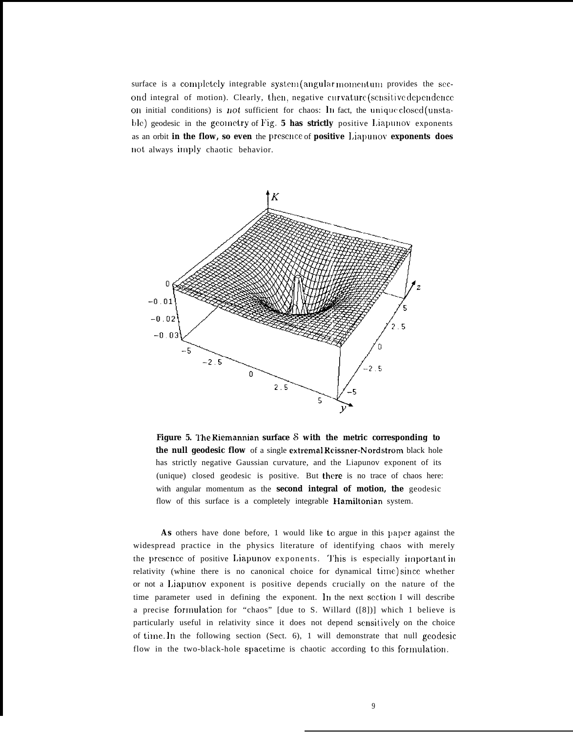surface is a completely integrable system (angular momentum provides the second integral of motion). Clearly, then, negative curvature (sensitive dependence on initial conditions) is not sufficient for chaos: In fact, the unique closed (unstable) geodesic in the geometry of Fig. 5 has strictly positive Liapunov exponents as an orbit in the flow, so even the presence of positive Liapunov exponents does not always imply chaotic behavior.



Figure 5. The Riemannian surface S with the metric corresponding to **the null geodesic flow** of a single extremal Keissner-Nordstrom black hole has strictly negative Gaussian curvature, and the Liapunov exponent of its (unique) closed geodesic is positive. But there is no trace of chaos here: with angular momentum as the **second integral of motion, the** geodesic flow of this surface is a completely integrable Hamiltonian system.

As others have done before, 1 would like to argue in this paper against the widespread practice in the physics literature of identifying chaos with merely the presence of positive Liapunov exponents. This is especially important in relativity (whine there is no canonical choice for dynamical time) since whether or not a l,iapunov exponent is positive depends crucially on the nature of the time parameter used in defining the exponent. In the next section I will describe a precise formulation for "chaos" [due to S. Willard  $([8])$ ] which 1 believe is particularly useful in relativity since it does not depend scnsitivc]y on the choice of time. In the following section (Sect. 6), 1 will demonstrate that null geodesic flow in the two-black-hole spacetime is chaotic according to this formulation.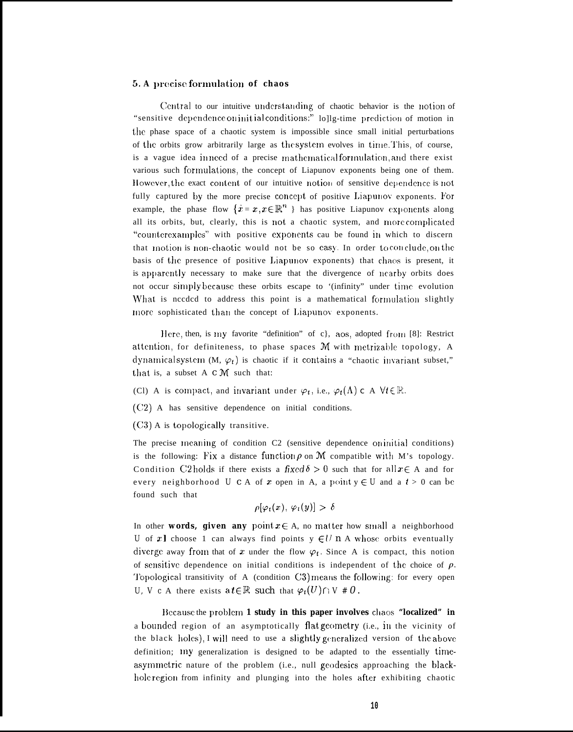# 5. A precise formulation of chaos

Central to our intuitive understanding of chaotic behavior is the notion of "sensitive dependence on initial conditions." lollg-time prediction of motion in the phase space of a chaotic system is impossible since small initial perturbations of the orbits grow arbitrarily large as the system evolves in time. This, of course, is a vague idea inneed of a precise mathematical formulation, and there exist various such formulations, the concept of Liapunov exponents being one of them. However, the exact content of our intuitive notion of sensitive dependence is not fully captured by the more precise concept of positive Liapunov exponents. For example, the phase flow  $\{x = x, x \in \mathbb{R}^n\}$  has positive Liapunov exponents along all its orbits, but, clearly, this is not a chaotic system, and more complicated "counterexamples" with positive exponents cau be found in which to discern that motion is non-chaotic would not be so easy. In order to conclude, on the basis of the presence of positive Liapunov exponents) that chaos is present, it is apparently necessary to make sure that the divergence of nearby orbits does not occur simply because these orbits escape to '(infinity" under time evolution What is needed to address this point is a mathematical formulation slightly more sophisticated than the concept of Liapunov exponents.

Here, then, is my favorite "definition" of c), aos, adopted from [8]: Restrict attention, for definiteness, to phase spaces M with metrizable topology, A dynamical system (M,  $\varphi_t$ ) is chaotic if it contains a "chaotic invariant subset," that is, a subset A c M such that:

- (Cl) A is compact, and invariant under  $\varphi_t$ , i.e.,  $\varphi_t(\Lambda) \subset A \ \forall t \in \mathbb{R}$ .
- (C2) A has sensitive dependence on initial conditions.
- (C3) A is topologically transitive.

The precise meaning of condition C2 (sensitive dependence oninitial conditions) is the following: Fix a distance function  $\rho$  on M compatible with M's topology. Condition C2 holds if there exists a fixed  $\delta > 0$  such that for all  $x \in A$  and for every neighborhood  $U \subset A$  of  $x$  open in A, a point  $y \in U$  and a  $t > 0$  can be found such that

$$
\rho[\varphi_t(x), \varphi_t(y)] > \delta
$$

In other words, given any point  $x \in A$ , no matter how small a neighborhood U of x I choose 1 can always find points  $y \in U$  n A whose orbits eventually diverge away from that of x under the flow  $\varphi_t$ . Since A is compact, this notion of sensitive dependence on initial conditions is independent of the choice of  $\rho$ . Topological transitivity of A (condition C3) means the following: for every open U, V c A there exists a  $t \in \mathbb{R}$  such that  $\varphi_t(U) \cap V \neq 0$ .

Because the problem 1 study in this paper involves chaos "localized" in a bounded region of an asymptotically flat geometry (i.e., in the vicinity of the black holes), I will need to use a slightly generalized version of the above definition; my generalization is designed to be adapted to the essentially timeasymmetric nature of the problem (i.e., null geodesics approaching the blackhole region from infinity and plunging into the holes after exhibiting chaotic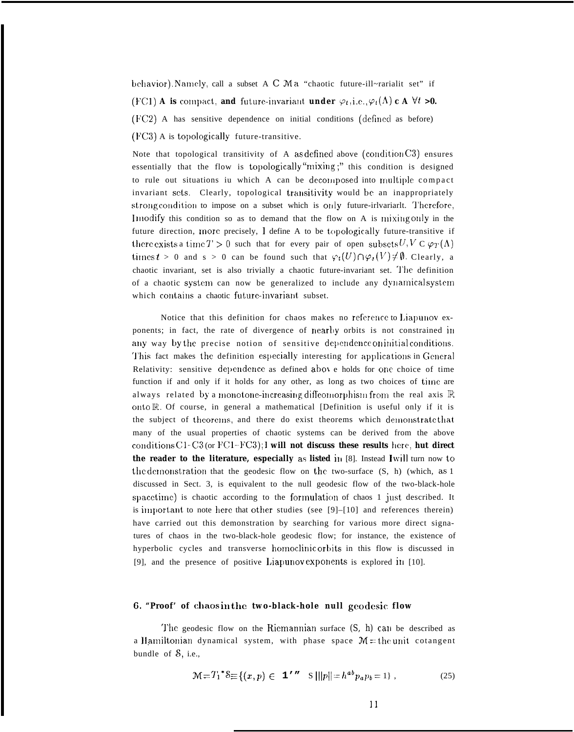behavior). Namely, call a subset A C Ma "chaotic future-ill~rarialit set" if (FC1) A is compact, and future-invariant under  $\varphi_t$ , i.e.,  $\varphi_t(\Lambda)$  c A  $\forall t > 0$ . (FC2) A has sensitive dependence on initial conditions (defined as before) (FC3) A is topologically future-transitive.

Note that topological transitivity of A as defined above (condition  $C3$ ) ensures essentially that the flow is topologically "mixing;" this condition is designed to rule out situations iu which A can be decomposed into multiple compact invariant sets. Clearly, topological transitivity would be an inappropriately strong condition to impose on a subset which is only future-irly ariant. Therefore, Imodify this condition so as to demand that the flow on A is mixing only in the future direction, more precisely, I define A to be topologically future-transitive if there exists a time  $T > 0$  such that for every pair of open subsets  $U, V \n\subset \varphi_T(\Lambda)$ times  $t > 0$  and  $s > 0$  can be found such that  $\varphi_t(U) \cap \varphi_s(V) \neq \emptyset$ . Clearly, a chaotic invariant, set is also trivially a chaotic future-invariant set. The definition of a chaotic system can now be generalized to include any dynamical system which contains a chaotic future-invariant subset.

Notice that this definition for chaos makes no reference to Liapunov exponents; in fact, the rate of divergence of nearby orbits is not constrained in any way by the precise notion of sensitive dependence on initial conditions. This fact makes the definition especially interesting for applications in General Relativity: sensitive dependence as defined above holds for one choice of time function if and only if it holds for any other, as long as two choices of time are always related by a monotone-increasing diffeomorphism from the real axis  $\mathbb R$ onto R. Of course, in general a mathematical [Definition is useful only if it is the subject of theorems, and there do exist theorems which demonstrate that many of the usual properties of chaotic systems can be derived from the above conditions C1-C3 (or FC1-FC3); I will not discuss these results here, hut direct the reader to the literature, especially as listed in [8]. Instead I will turn now to the demonstration that the geodesic flow on the two-surface (S, h) (which, as 1 discussed in Sect. 3, is equivalent to the null geodesic flow of the two-black-hole spacetime) is chaotic according to the formulation of chaos 1 just described. It is important to note here that other studies (see [9]-[10] and references therein) have carried out this demonstration by searching for various more direct signatures of chaos in the two-black-hole geodesic flow; for instance, the existence of hyperbolic cycles and transverse homoclinic orbits in this flow is discussed in [9], and the presence of positive Liapunov exponents is explored in [10].

#### 6. "Proof" of chaosin the two-black-hole null geodesic flow

The geodesic flow on the Riemannian surface  $(S, h)$  can be described as a Hamiltonian dynamical system, with phase space  $M =$  the unit cotangent bundle of  $\delta$ , i.e.,

$$
\mathcal{M} = T_1^* \mathcal{S} \equiv \{ (x, p) \in \mathbf{1'}^{\prime\prime} \quad S \mid ||p|| = h^{ab} p_a p_b = 1 \}, \tag{25}
$$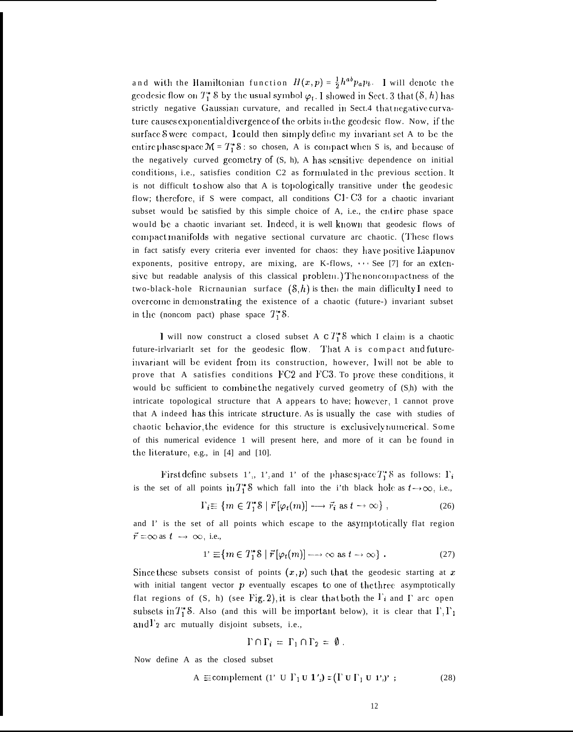and with the Hamiltonian function  $H(x,p) = \frac{1}{2}h^{ab}p_a p_b$ . I will denote the geodesic flow on  $T_1^*$  S by the usual symbol  $\varphi_t$ . I showed in Sect. 3 that  $(\mathcal{S}, h)$  has strictly negative Gaussian curvature, and recalled in Sect.4 that negative curvature causes exponential divergence of the orbits in the geodesic flow. Now, if the surface Swere compact, I could then simply define my invariant set A to be the entire phase space  $M = T_1^* S$ : so chosen, A is compact when S is, and because of the negatively curved geometry of (S, h), A has sensitive dependence on initial conditions, i.e., satisfies condition C2 as formulated in the previous section. It is not difficult to show also that A is topologically transitive under the geodesic flow; therefore, if S were compact, all conditions C1-C3 for a chaotic invariant subset would be satisfied by this simple choice of A, i.e., the entire phase space would be a chaotic invariant set. Indeed, it is well known that geodesic flows of compact manifolds with negative sectional curvature arc chaotic. (These flows in fact satisfy every criteria ever invented for chaos: they have positive Liapunov exponents, positive entropy, are mixing, are K-flows, ... See [7] for an extensive but readable analysis of this classical problem.) The noncompactness of the two-black-hole Ricrnaunian surface  $(\mathcal{S}, h)$  is then the main difficulty I need to overcome in demonstrating the existence of a chaotic (future-) invariant subset in the (noncom pact) phase space  $T_1^*$  S.

I will now construct a closed subset A  $cT_1^*S$  which I claim is a chaotic future-irlvariarlt set for the geodesic flow. That A is compact and futureinvariant will be evident from its construction, however, I will not be able to prove that A satisfies conditions FC2 and FC3. To prove these conditions, it would be sufficient to combine the negatively curved geometry of (S,h) with the intricate topological structure that A appears to have; however, 1 cannot prove that A indeed has this intricate structure. As is usually the case with studies of chaotic behavior, the evidence for this structure is exclusively numerical. Some of this numerical evidence 1 will present here, and more of it can be found in the literature, e.g., in [4] and [10].

First define subsets 1', 1', and 1' of the phase space  $T_1^*$  S as follows:  $\Gamma_i$ is the set of all points in  $T_1^*$ S which fall into the i'th black hole as  $t \to \infty$ , i.e.,

$$
\Gamma_i \equiv \{ m \in T_1^* \mathbb{S} \mid \vec{r} \left[ \varphi_t(m) \right] \longrightarrow \vec{r}_i \text{ as } t \longrightarrow \infty \},\tag{26}
$$

and I' is the set of all points which escape to the asymptotically flat region  $\vec{r} = \infty$  as  $t \to \infty$ , i.e.,

$$
1' \equiv \{ m \in T_1^* \mathbb{S} \mid \vec{r} \left[ \varphi_t(m) \right] \longrightarrow \infty \text{ as } t \to \infty \} . \tag{27}
$$

Since these subsets consist of points  $(x, p)$  such that the geodesic starting at x with initial tangent vector  $p$  eventually escapes to one of the three asymptotically flat regions of  $(S, h)$  (see Fig. 2), it is clear that both the  $\Gamma_i$  and  $\Gamma$  arc open subsets in  $T_1^*$ 8. Also (and this will be important below), it is clear that  $\Gamma, \Gamma_1$ and  $\Gamma$ <sup>2</sup> arc mutually disjoint subsets, i.e.,

$$
\Gamma \cap \Gamma_i = \Gamma_1 \cap \Gamma_2 = \emptyset.
$$

Now define A as the closed subset

$$
A \equiv \text{complement} \ (1' \ U \Gamma_1 U \Gamma_2) = (\Gamma \cup \Gamma_1 U \Gamma_2)'; \tag{28}
$$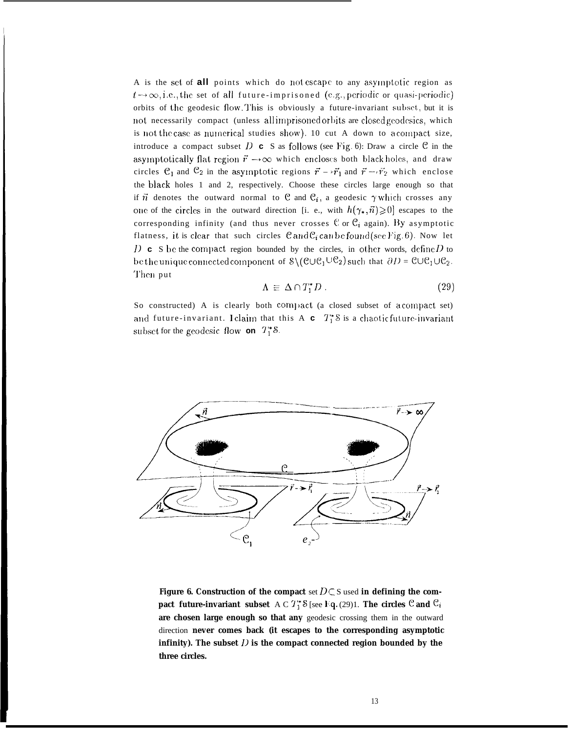A is the set of **all** points which do not escape to any asymptotic region as  $t \rightarrow \infty$ , i.e., the set of all future-imprisoned (e.g., periodic or quasi-periodic) orbits of the geodesic flow. This is obviously a future-invariant subset, but it is not necessarily compact (unless allimprisoned orbits are closed geodesics, which is not the case as numerical studies show). 10 cut A down to a compact size, introduce a compact subset D **c** S as follows (see Fig. 6): Draw a circle  $\mathcal{C}$  in the asymptotically flat region  $\vec{r} \rightarrow \infty$  which encloses both black holes, and draw circles  $C_1$  and  $C_2$  in the asymptotic regions  $\vec{r} \rightarrow \vec{r}_1$  and  $\vec{r} \rightarrow \vec{r}_2$  which enclose the black holes 1 and 2, respectively. Choose these circles large enough so that if  $\vec{n}$  denotes the outward normal to  $\mathcal{C}$  and  $\mathcal{C}_i$ , a geodesic  $\gamma$  which crosses any one of the circles in the outward direction [i. e., with  $h(\gamma_*, \vec{n}) \geq 0$ ] escapes to the corresponding infinity (and thus never crosses  $C$  or  $C_i$  again). By asymptotic flatness, it is clear that such circles  $\mathcal C$  and  $\mathcal C_i$  can be found (see Fig. 6). Now let  $D \subset S$  be the compact region bounded by the circles, in other words, define  $D$  to be the unique connected component of  $\{\mathcal{C}\cup\mathcal{C}_1\cup\mathcal{C}_2\}$  such that  $\partial D = \mathcal{C}\cup\mathcal{C}_1\cup\mathcal{C}_2$ . '1'hcn put

$$
\Lambda \equiv \Delta \cap T_1^* D \,. \tag{29}
$$

So constructed) A is clearly both compact (a closed subset of a compact set) and future-invariant. I claim that this A  $c$   $T_1^*$ S is a chaotic future-invariant subset for the geodesic flow on  $T_1^*$ 8.



**Figure 6. Construction of the compact** set  $D \subset S$  used in defining the com**pact future-invariant subset** A C  $T_1^*$  S [see Fq. (29)1. The circles  $\mathcal{C}$  and  $\mathcal{C}_i$ **are chosen large enough so that any** geodesic crossing them in the outward direction **never comes back (it escapes to the corresponding asymptotic infinity). The subset l) is the compact connected region bounded by the three circles.**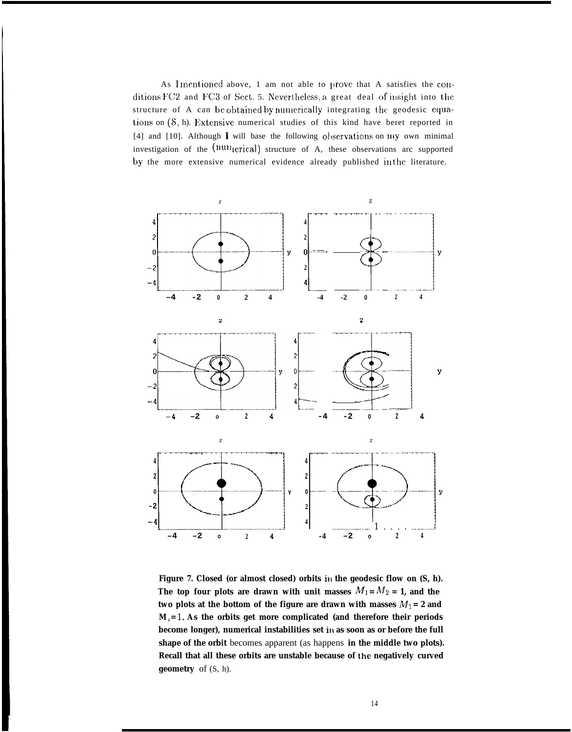As Imentioned above, 1 am not able to prove that A satisfies the conditions  $FC2$  and  $FC3$  of Sect. 5. Nevertheless, a great deal of insight into the structure of A can be obtained by numerically integrating the geodesic equations on  $(8, h)$ . Extensive numerical studies of this kind have beret reported in [4] and [10]. Although  $\bf{l}$  will base the following observations on  $m$  own minimal investigation of the  $(num<sub>l</sub>erical)$  structure of A, these observations arc supported by the more extensive numerical evidence already published in the literature.



**Figure 7. Closed (or almost closed) orbits in the geodesic flow on (S, h).** The top four plots are drawn with unit masses  $M_1 = M_2 = 1$ , and the two plots at the bottom of the figure are drawn with masses  $M_1 = 2$  and  $M<sub>2</sub> = 1$ . As the orbits get more complicated (and therefore their periods become longer), numerical instabilities set in as soon as or before the full **shape of the orbit** becomes apparent (as happens **in the middle two plots). Recall that all these orbits are unstable because of the negatively curved geometry** of (S, h).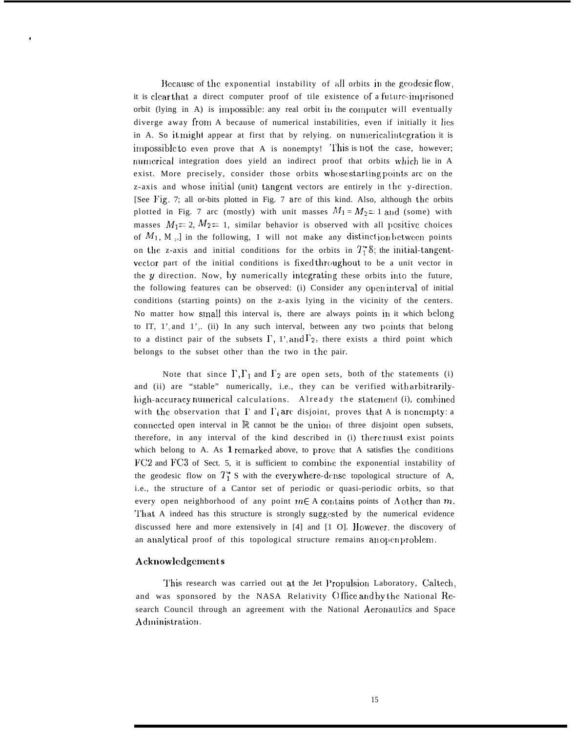Because of the exponential instability of all orbits in the geodesic flow, it is clear that a direct computer proof of tile existence of a future-imprisoned orbit (lying in A) is impossible: any real orbit in the computer will eventually diverge away from A because of numerical instabilities, even if initially it lies in A. So it might appear at first that by relying. on numerical integration it is impossible to even prove that A is nonempty! This is not the case, however; numerical integration does yield an indirect proof that orbits which lie in A exist. More precisely, consider those orbits whose starting points arc on the z-axis and whose initial (unit) tangent vectors are entirely in the y-direction. [See l'ig. 7; all or-bits plotted in Fig. 7 are of this kind. Also, although the orbits plotted in Fig. 7 arc (mostly) with unit masses  $M_1 = M_2 = 1$  and (some) with masses  $M_1 = 2$ ,  $M_2 = 1$ , similar behavior is observed with all positive choices of  $M_1$ ,  $M$ <sub>2</sub>. *]* in the following, I will not make any distinction between points on the z-axis and initial conditions for the orbits in  $T_1^*s$ ; the initial-tangentvector part of the initial conditions is fixed throughout to be a unit vector in the  $y$  direction. Now, by numerically integrating these orbits into the future, the following features can be observed: (i) Consider any openinterval of initial conditions (starting points) on the z-axis lying in the vicinity of the centers. No matter how small this interval is, there are always points in it which belong to IT,  $1'$  and  $1'$   $\ldots$  (ii) In any such interval, between any two points that belong to a distinct pair of the subsets  $\Gamma$ , 1'<sub>1</sub> and  $\Gamma$ <sub>2</sub>, there exists a third point which belongs to the subset other than the two in the pair.

Note that since  $\Gamma$ ,  $\Gamma_1$  and  $\Gamma_2$  are open sets, both of the statements (i) and (ii) are "stable" numerically, i.e., they can be verified with arbitrarilyhigh-accuracy numerical calculations. Already the statement (i), combined with the observation that  $\Gamma$  and  $\Gamma_i$  are disjoint, proves that A is nonempty: a connected open interval in  $\mathbb R$  cannot be the union of three disjoint open subsets, therefore, in any interval of the kind described in (i) there must exist points which belong to A. As 1 remarked above, to prove that A satisfies the conditions FC2 and FC3 of Sect. 5, it is sufficient to combine the exponential instability of the geodesic flow on  $T_1^*$  S with the everywhere-dense topological structure of A, i.e., the structure of a Cantor set of periodic or quasi-periodic orbits, so that every open neighborhood of any point  $m \in A$  contains points of  $\Lambda$  other than  $m$ . That A indeed has this structure is strongly suggested by the numerical evidence discussed here and more extensively in  $[4]$  and  $[1 \ 0]$ . However, the discovery of an analytical proof of this topological structure remains anopenproblem.

#### **Acknowleclgemmt s**

,

This research was carried out at the Jet Propulsion Laboratory, Caltech, and was sponsored by the NASA Relativity Office and by the National Research Council through an agreement with the National Aeroriautics and Space Administration.